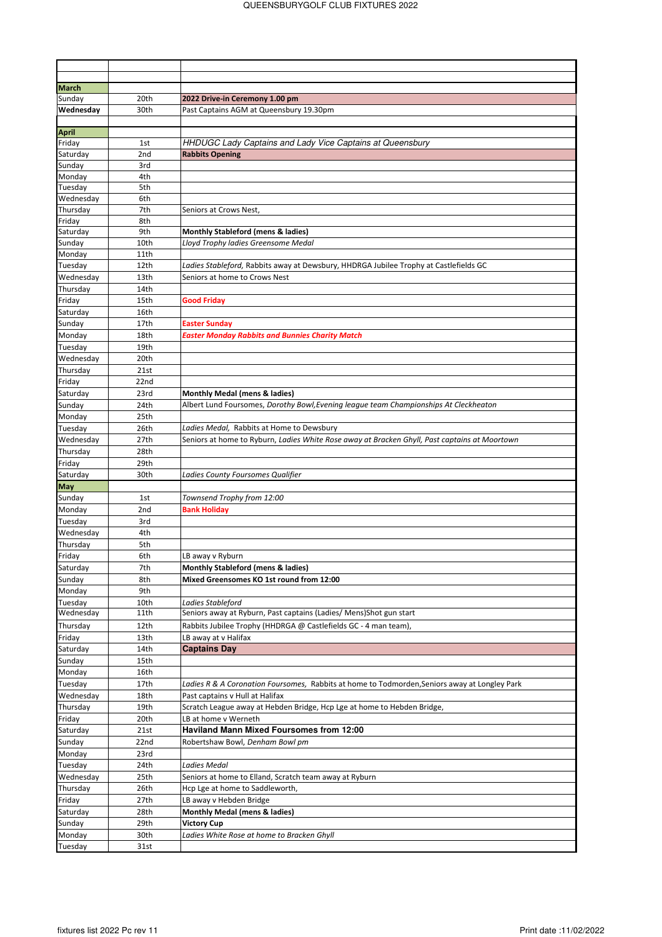| <b>March</b>         |                 |                                                                                               |
|----------------------|-----------------|-----------------------------------------------------------------------------------------------|
| Sunday               | 20th            | 2022 Drive-in Ceremony 1.00 pm                                                                |
| Wednesday            | 30th            | Past Captains AGM at Queensbury 19.30pm                                                       |
|                      |                 |                                                                                               |
| <b>April</b>         |                 |                                                                                               |
| Friday               | 1st             | HHDUGC Lady Captains and Lady Vice Captains at Queensbury                                     |
| Saturday             | 2 <sub>nd</sub> | <b>Rabbits Opening</b>                                                                        |
| Sunday               | 3rd             |                                                                                               |
| Monday               | 4th             |                                                                                               |
| Tuesday              | 5th             |                                                                                               |
| Wednesday            | 6th             |                                                                                               |
| Thursday             | 7th             | Seniors at Crows Nest,                                                                        |
| Friday               | 8th             |                                                                                               |
| Saturday             | 9th             | Monthly Stableford (mens & ladies)                                                            |
| Sunday<br>Monday     | 10th<br>11th    | Lloyd Trophy ladies Greensome Medal                                                           |
|                      | 12th            | Ladies Stableford, Rabbits away at Dewsbury, HHDRGA Jubilee Trophy at Castlefields GC         |
| Tuesday<br>Wednesday | 13th            | Seniors at home to Crows Nest                                                                 |
| Thursday             | 14th            |                                                                                               |
|                      | 15th            |                                                                                               |
| Friday               | 16th            | <b>Good Friday</b>                                                                            |
| Saturday             |                 |                                                                                               |
| Sunday               | 17th<br>18th    | <b>Easter Sunday</b><br><b>Easter Monday Rabbits and Bunnies Charity Match</b>                |
| Monday               |                 |                                                                                               |
| Tuesday<br>Wednesday | 19th<br>20th    |                                                                                               |
| Thursday             | 21st            |                                                                                               |
|                      | 22nd            |                                                                                               |
| Friday               |                 | Monthly Medal (mens & ladies)                                                                 |
| Saturday             | 23rd<br>24th    | Albert Lund Foursomes, Dorothy Bowl, Evening league team Championships At Cleckheaton         |
| Sunday<br>Monday     | 25th            |                                                                                               |
| Tuesday              | 26th            | Ladies Medal, Rabbits at Home to Dewsbury                                                     |
| Wednesday            | 27th            | Seniors at home to Ryburn, Ladies White Rose away at Bracken Ghyll, Past captains at Moortown |
| Thursday             | 28th            |                                                                                               |
| Friday               | 29th            |                                                                                               |
| Saturday             | 30th            | Ladies County Foursomes Qualifier                                                             |
| <b>May</b>           |                 |                                                                                               |
| Sunday               | 1st             | Townsend Trophy from 12:00                                                                    |
| Monday               | 2 <sub>nd</sub> | <b>Bank Holiday</b>                                                                           |
| Tuesday              | 3rd             |                                                                                               |
| Wednesday            | 4th             |                                                                                               |
| Thursday             | 5th             |                                                                                               |
| Friday               | 6th             | LB away v Ryburn                                                                              |
| Saturday             | 7th             | Monthly Stableford (mens & ladies)                                                            |
| Sunday               | 8th             | Mixed Greensomes KO 1st round from 12:00                                                      |
| Monday               | 9th             |                                                                                               |
| Tuesday              | 10th            | Ladies Stableford                                                                             |
| Wednesday            | 11th            | Seniors away at Ryburn, Past captains (Ladies/ Mens)Shot gun start                            |
| Thursday             | 12th            | Rabbits Jubilee Trophy (HHDRGA @ Castlefields GC - 4 man team),                               |
| Friday               | 13th            | LB away at v Halifax                                                                          |
| Saturday             | 14th            | <b>Captains Day</b>                                                                           |
| Sunday               | 15th            |                                                                                               |
| Monday               | 16th            |                                                                                               |
| Tuesday              | 17th            | Ladies R & A Coronation Foursomes, Rabbits at home to Todmorden, Seniors away at Longley Park |
| Wednesday            | 18th            | Past captains v Hull at Halifax                                                               |
| Thursday             | 19th            | Scratch League away at Hebden Bridge, Hcp Lge at home to Hebden Bridge,                       |
| Friday               | 20th            | LB at home v Werneth                                                                          |
| Saturday             | 21st            | Haviland Mann Mixed Foursomes from 12:00                                                      |
| Sunday               | 22nd            | Robertshaw Bowl, Denham Bowl pm                                                               |
| Monday               | 23rd            |                                                                                               |
| Tuesday              | 24th            | Ladies Medal                                                                                  |
| Wednesday            | 25th            | Seniors at home to Elland, Scratch team away at Ryburn                                        |
| Thursday             | 26th            | Hcp Lge at home to Saddleworth,                                                               |
| Friday               | 27th            | LB away v Hebden Bridge                                                                       |
| Saturday             | 28th            | <b>Monthly Medal (mens &amp; ladies)</b>                                                      |
|                      |                 |                                                                                               |
| Sunday               | 29th            | <b>Victory Cup</b>                                                                            |
| Monday<br>Tuesday    | 30th<br>31st    | Ladies White Rose at home to Bracken Ghyll                                                    |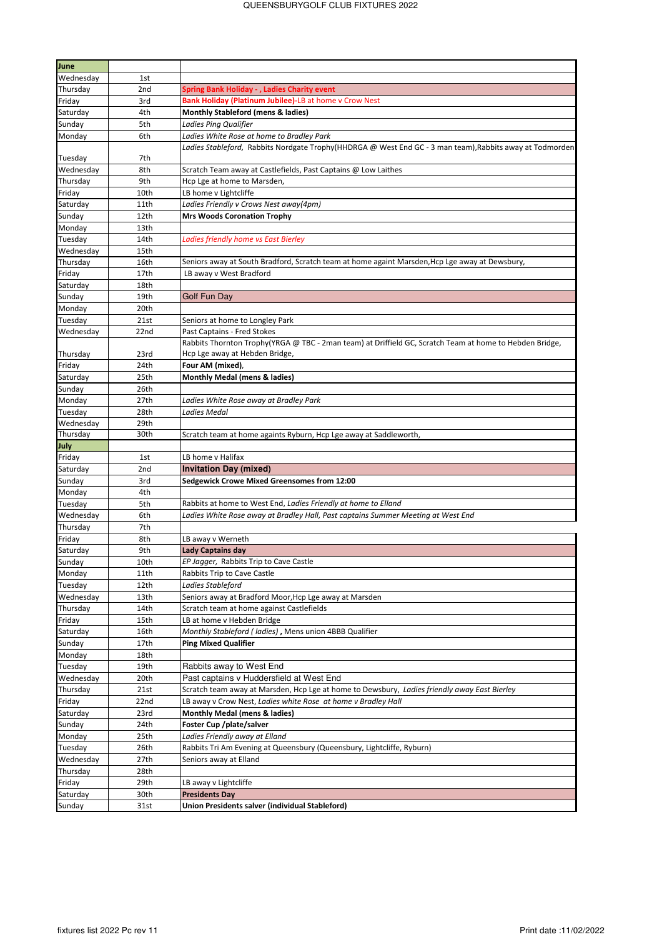| June                                   |                 |                                                                                                          |
|----------------------------------------|-----------------|----------------------------------------------------------------------------------------------------------|
| Wednesdav                              | 1st             |                                                                                                          |
| Thursday                               | 2 <sub>nd</sub> | <b>Spring Bank Holiday - , Ladies Charity event</b>                                                      |
| Friday                                 | 3rd             | Bank Holiday (Platinum Jubilee)-LB at home v Crow Nest                                                   |
| Saturday                               | 4th             | Monthly Stableford (mens & ladies)                                                                       |
| Sunday                                 | 5th             | Ladies Ping Qualifier                                                                                    |
| Monday                                 | 6th             | Ladies White Rose at home to Bradley Park                                                                |
|                                        |                 | Ladies Stableford, Rabbits Nordgate Trophy(HHDRGA @ West End GC - 3 man team), Rabbits away at Todmorden |
| Tuesday                                | 7th             |                                                                                                          |
| Wednesday                              | 8th             | Scratch Team away at Castlefields, Past Captains @ Low Laithes                                           |
| Thursday                               | 9th             | Hcp Lge at home to Marsden,                                                                              |
| Friday                                 | 10th            | LB home v Lightcliffe                                                                                    |
| Saturday                               | 11th            | Ladies Friendly v Crows Nest away(4pm)                                                                   |
| Sunday                                 | 12th            | <b>Mrs Woods Coronation Trophy</b>                                                                       |
| Monday                                 | 13th            |                                                                                                          |
| Tuesday                                | 14th            | Ladies friendly home vs East Bierley                                                                     |
| Wednesday                              | 15th            |                                                                                                          |
| Thursday                               | 16th            | Seniors away at South Bradford, Scratch team at home againt Marsden, Hcp Lge away at Dewsbury,           |
| Friday                                 | 17th            | LB away v West Bradford                                                                                  |
| Saturday                               | 18th            |                                                                                                          |
| Sunday                                 | 19th            | Golf Fun Day                                                                                             |
| Monday                                 | 20th            |                                                                                                          |
| Tuesday                                | 21st            | Seniors at home to Longley Park                                                                          |
| Wednesday                              | 22nd            | Past Captains - Fred Stokes                                                                              |
|                                        |                 | Rabbits Thornton Trophy(YRGA @ TBC - 2man team) at Driffield GC, Scratch Team at home to Hebden Bridge,  |
| Thursday                               | 23rd            | Hcp Lge away at Hebden Bridge,                                                                           |
| Friday                                 | 24th            | Four AM (mixed),                                                                                         |
| Saturday                               | 25th            | <b>Monthly Medal (mens &amp; ladies)</b>                                                                 |
| Sunday                                 | 26th            |                                                                                                          |
| Monday                                 | 27th            | Ladies White Rose away at Bradley Park                                                                   |
| Tuesday                                | 28th            | Ladies Medal                                                                                             |
| Wednesday                              | 29th            |                                                                                                          |
|                                        |                 |                                                                                                          |
|                                        | 30th            |                                                                                                          |
| Thursday                               |                 | Scratch team at home againts Ryburn, Hcp Lge away at Saddleworth,                                        |
| July                                   | 1st             | LB home v Halifax                                                                                        |
|                                        | 2 <sub>nd</sub> | <b>Invitation Day (mixed)</b>                                                                            |
|                                        | 3rd             |                                                                                                          |
| Friday<br>Saturday<br>Sunday<br>Monday | 4th             | <b>Sedgewick Crowe Mixed Greensomes from 12:00</b>                                                       |
| Tuesday                                | 5th             | Rabbits at home to West End, Ladies Friendly at home to Elland                                           |
| Wednesday                              | 6th             |                                                                                                          |
| Thursday                               | 7th             | Ladies White Rose away at Bradley Hall, Past captains Summer Meeting at West End                         |
| Friday                                 | 8th             | LB away v Werneth                                                                                        |
| Saturday                               | 9th             | Lady Captains day                                                                                        |
|                                        | 10th            | EP Jagger, Rabbits Trip to Cave Castle                                                                   |
| Sunday<br>Monday                       | 11th            | Rabbits Trip to Cave Castle                                                                              |
| Tuesday                                | 12th            | Ladies Stableford                                                                                        |
| Wednesday                              | 13th            | Seniors away at Bradford Moor, Hcp Lge away at Marsden                                                   |
| Thursday                               | 14th            | Scratch team at home against Castlefields                                                                |
| Friday                                 | 15th            | LB at home v Hebden Bridge                                                                               |
| Saturday                               | 16th            | Monthly Stableford ( ladies), Mens union 4BBB Qualifier                                                  |
| Sunday                                 | 17th            | <b>Ping Mixed Qualifier</b>                                                                              |
| Monday                                 | 18th            |                                                                                                          |
|                                        |                 |                                                                                                          |
| Tuesday                                | 19th<br>20th    | Rabbits away to West End<br>Past captains v Huddersfield at West End                                     |
| Wednesday<br>Thursday                  | 21st            | Scratch team away at Marsden, Hcp Lge at home to Dewsbury, Ladies friendly away East Bierley             |
| Friday                                 | 22nd            |                                                                                                          |
| Saturday                               | 23rd            | LB away v Crow Nest, Ladies white Rose at home v Bradley Hall<br>Monthly Medal (mens & ladies)           |
|                                        | 24th            |                                                                                                          |
|                                        |                 | Foster Cup /plate/salver                                                                                 |
| Monday                                 | 25th            | Ladies Friendly away at Elland                                                                           |
| Sunday<br>Tuesday<br>Wednesday         | 26th<br>27th    | Rabbits Tri Am Evening at Queensbury (Queensbury, Lightcliffe, Ryburn)                                   |
|                                        |                 | Seniors away at Elland                                                                                   |
| Thursday                               | 28th<br>29th    |                                                                                                          |
| Friday                                 |                 | LB away v Lightcliffe                                                                                    |
| Saturday<br>Sunday                     | 30th<br>31st    | <b>Presidents Day</b><br>Union Presidents salver (individual Stableford)                                 |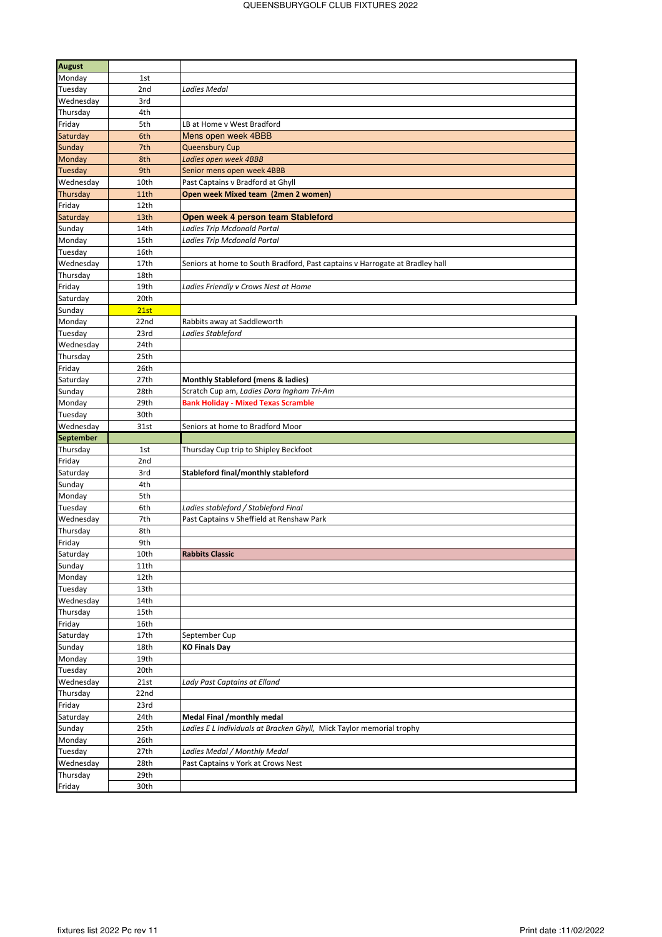| <b>August</b>                          |              |                                                                              |
|----------------------------------------|--------------|------------------------------------------------------------------------------|
| Monday                                 | 1st          |                                                                              |
| Tuesday                                | 2nd          | Ladies Medal                                                                 |
| Wednesday                              | 3rd          |                                                                              |
| Thursday                               | 4th          |                                                                              |
| Friday                                 | 5th          | LB at Home v West Bradford                                                   |
| Saturday                               | 6th          | Mens open week 4BBB                                                          |
| Sunday                                 | 7th          | <b>Queensbury Cup</b>                                                        |
| <b>Monday</b>                          | 8th          | Ladies open week 4BBB                                                        |
| Tuesday                                | 9th          | Senior mens open week 4BBB                                                   |
| Wednesday                              | 10th         | Past Captains v Bradford at Ghyll                                            |
| Thursday                               | 11th         | Open week Mixed team (2men 2 women)                                          |
| Friday                                 | 12th         |                                                                              |
| Saturday                               | 13th         | Open week 4 person team Stableford                                           |
| Sunday                                 | 14th         | Ladies Trip Mcdonald Portal                                                  |
| Monday                                 | 15th         | Ladies Trip Mcdonald Portal                                                  |
| Tuesday                                | 16th         |                                                                              |
| Wednesday                              | 17th         | Seniors at home to South Bradford, Past captains v Harrogate at Bradley hall |
| Thursday                               | 18th         |                                                                              |
| Friday                                 | 19th         | Ladies Friendly v Crows Nest at Home                                         |
| Saturday                               | 20th         |                                                                              |
| Sunday                                 | 21st         |                                                                              |
| Monday                                 | 22nd         | Rabbits away at Saddleworth                                                  |
| Tuesday                                | 23rd         | Ladies Stableford                                                            |
| Wednesday                              | 24th         |                                                                              |
| Thursday                               | 25th         |                                                                              |
|                                        | 26th         |                                                                              |
| Friday<br>Saturday                     | 27th         | Monthly Stableford (mens & ladies)                                           |
| Sunday                                 | 28th         | Scratch Cup am, Ladies Dora Ingham Tri-Am                                    |
| Monday                                 | 29th         | <b>Bank Holiday - Mixed Texas Scramble</b>                                   |
| Tuesday                                | 30th         |                                                                              |
| Wednesday                              | 31st         | Seniors at home to Bradford Moor                                             |
|                                        |              |                                                                              |
|                                        |              |                                                                              |
|                                        |              |                                                                              |
|                                        | 1st          | Thursday Cup trip to Shipley Beckfoot                                        |
| <b>September</b><br>Thursday<br>Friday | 2nd          |                                                                              |
| Saturday                               | 3rd          | Stableford final/monthly stableford                                          |
| Sunday                                 | 4th          |                                                                              |
| Monday                                 | 5th          |                                                                              |
|                                        | 6th          | Ladies stableford / Stableford Final                                         |
| Tuesday<br>Wednesday                   | 7th          | Past Captains v Sheffield at Renshaw Park                                    |
| Thursday                               | 8th          |                                                                              |
| Friday                                 | 9th          |                                                                              |
| Saturday                               | 10th         | <b>Rabbits Classic</b>                                                       |
| Sunday                                 | 11th         |                                                                              |
| Monday                                 | 12th         |                                                                              |
| Tuesday                                | 13th         |                                                                              |
| Wednesday                              | 14th         |                                                                              |
| Thursday                               | 15th         |                                                                              |
| Friday                                 | 16th         |                                                                              |
| Saturday                               | 17th         | September Cup                                                                |
| Sunday                                 | 18th         | <b>KO Finals Day</b>                                                         |
| Monday                                 | 19th         |                                                                              |
| Tuesday                                | 20th         |                                                                              |
| Wednesday                              | 21st         | Lady Past Captains at Elland                                                 |
| Thursday                               | 22nd         |                                                                              |
| Friday                                 | 23rd         |                                                                              |
| Saturday                               | 24th         | Medal Final /monthly medal                                                   |
| Sunday                                 | 25th         | Ladies E L Individuals at Bracken Ghyll, Mick Taylor memorial trophy         |
| Monday                                 | 26th         |                                                                              |
| Tuesday                                | 27th         | Ladies Medal / Monthly Medal                                                 |
| Wednesday                              | 28th         | Past Captains v York at Crows Nest                                           |
| Thursday<br>Friday                     | 29th<br>30th |                                                                              |